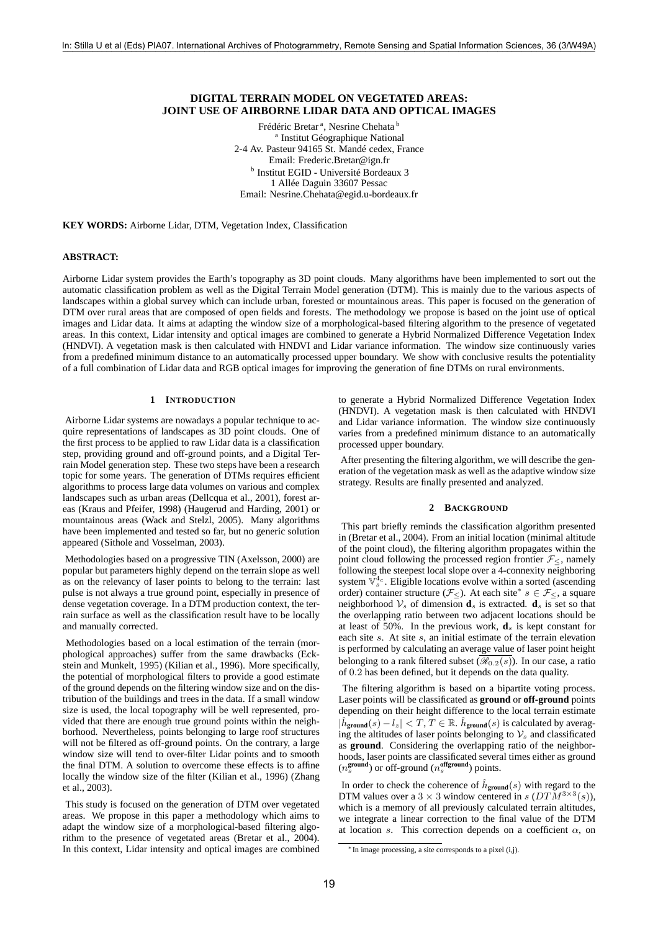# **DIGITAL TERRAIN MODEL ON VEGETATED AREAS: JOINT USE OF AIRBORNE LIDAR DATA AND OPTICAL IMAGES**

Frédéric Bretar<sup>a</sup>, Nesrine Chehata<sup>b</sup> <sup>a</sup> Institut Géographique National 2-4 Av. Pasteur 94165 St. Mandé cedex, France Email: Frederic.Bretar@ign.fr b Institut EGID - Université Bordeaux 3 1 Allée Daguin 33607 Pessac Email: Nesrine.Chehata@egid.u-bordeaux.fr

**KEY WORDS:** Airborne Lidar, DTM, Vegetation Index, Classification

### **ABSTRACT:**

Airborne Lidar system provides the Earth's topography as 3D point clouds. Many algorithms have been implemented to sort out the automatic classification problem as well as the Digital Terrain Model generation (DTM). This is mainly due to the various aspects of landscapes within a global survey which can include urban, forested or mountainous areas. This paper is focused on the generation of DTM over rural areas that are composed of open fields and forests. The methodology we propose is based on the joint use of optical images and Lidar data. It aims at adapting the window size of a morphological-based filtering algorithm to the presence of vegetated areas. In this context, Lidar intensity and optical images are combined to generate a Hybrid Normalized Difference Vegetation Index (HNDVI). A vegetation mask is then calculated with HNDVI and Lidar variance information. The window size continuously varies from a predefined minimum distance to an automatically processed upper boundary. We show with conclusive results the potentiality of a full combination of Lidar data and RGB optical images for improving the generation of fine DTMs on rural environments.

#### **1 INTRODUCTION**

Airborne Lidar systems are nowadays a popular technique to acquire representations of landscapes as 3D point clouds. One of the first process to be applied to raw Lidar data is a classification step, providing ground and off-ground points, and a Digital Terrain Model generation step. These two steps have been a research topic for some years. The generation of DTMs requires efficient algorithms to process large data volumes on various and complex landscapes such as urban areas (Dellcqua et al., 2001), forest areas (Kraus and Pfeifer, 1998) (Haugerud and Harding, 2001) or mountainous areas (Wack and Stelzl, 2005). Many algorithms have been implemented and tested so far, but no generic solution appeared (Sithole and Vosselman, 2003).

Methodologies based on a progressive TIN (Axelsson, 2000) are popular but parameters highly depend on the terrain slope as well as on the relevancy of laser points to belong to the terrain: last pulse is not always a true ground point, especially in presence of dense vegetation coverage. In a DTM production context, the terrain surface as well as the classification result have to be locally and manually corrected.

Methodologies based on a local estimation of the terrain (morphological approaches) suffer from the same drawbacks (Eckstein and Munkelt, 1995) (Kilian et al., 1996). More specifically, the potential of morphological filters to provide a good estimate of the ground depends on the filtering window size and on the distribution of the buildings and trees in the data. If a small window size is used, the local topography will be well represented, provided that there are enough true ground points within the neighborhood. Nevertheless, points belonging to large roof structures will not be filtered as off-ground points. On the contrary, a large window size will tend to over-filter Lidar points and to smooth the final DTM. A solution to overcome these effects is to affine locally the window size of the filter (Kilian et al., 1996) (Zhang et al., 2003).

This study is focused on the generation of DTM over vegetated areas. We propose in this paper a methodology which aims to adapt the window size of a morphological-based filtering algorithm to the presence of vegetated areas (Bretar et al., 2004). In this context, Lidar intensity and optical images are combined to generate a Hybrid Normalized Difference Vegetation Index (HNDVI). A vegetation mask is then calculated with HNDVI and Lidar variance information. The window size continuously varies from a predefined minimum distance to an automatically processed upper boundary.

After presenting the filtering algorithm, we will describe the generation of the vegetation mask as well as the adaptive window size strategy. Results are finally presented and analyzed.

#### **2 BACKGROUND**

This part briefly reminds the classification algorithm presented in (Bretar et al., 2004). From an initial location (minimal altitude of the point cloud), the filtering algorithm propagates within the point cloud following the processed region frontier  $\mathcal{F}_{\leq}$ , namely following the steepest local slope over a 4-connexity neighboring system  $\overline{V}_s^4$ . Eligible locations evolve within a sorted (ascending order) container structure ( $\mathcal{F}_{\leq}$ ). At each site<sup>\*</sup>  $s \in \mathcal{F}_{\leq}$ , a square neighborhood  $V_s$  of dimension  $\mathbf{d}_s$  is extracted.  $\mathbf{d}_s$  is set so that the overlapping ratio between two adjacent locations should be at least of 50%. In the previous work,  $\mathbf{d}_s$  is kept constant for each site s. At site s, an initial estimate of the terrain elevation is performed by calculating an average value of laser point height belonging to a rank filtered subset  $(\overline{\mathscr{R}_{0.2}(s)})$ . In our case, a ratio of 0.2 has been defined, but it depends on the data quality.

The filtering algorithm is based on a bipartite voting process. Laser points will be classificated as **ground** or **off-ground** points depending on their height difference to the local terrain estimate  $|\hat{h}_{\text{ground}}(s) - l_z| < T$ ,  $T \in \mathbb{R}$ .  $\hat{h}_{\text{ground}}(s)$  is calculated by averaging the altitudes of laser points belonging to  $\mathcal{V}_s$  and classificated as **ground**. Considering the overlapping ratio of the neighborhoods, laser points are classificated several times either as ground  $(n_s^{\text{ground}})$  or off-ground  $(n_s^{\text{offground}})$  points.

In order to check the coherence of  $\hat{h}_{\text{ground}}(s)$  with regard to the DTM values over a 3  $\times$  3 window centered in s (DTM<sup>3 $\times$ 3</sup>(s)), which is a memory of all previously calculated terrain altitudes, we integrate a linear correction to the final value of the DTM at location s. This correction depends on a coefficient  $\alpha$ , on

<sup>∗</sup> In image processing, a site corresponds to a pixel (i,j).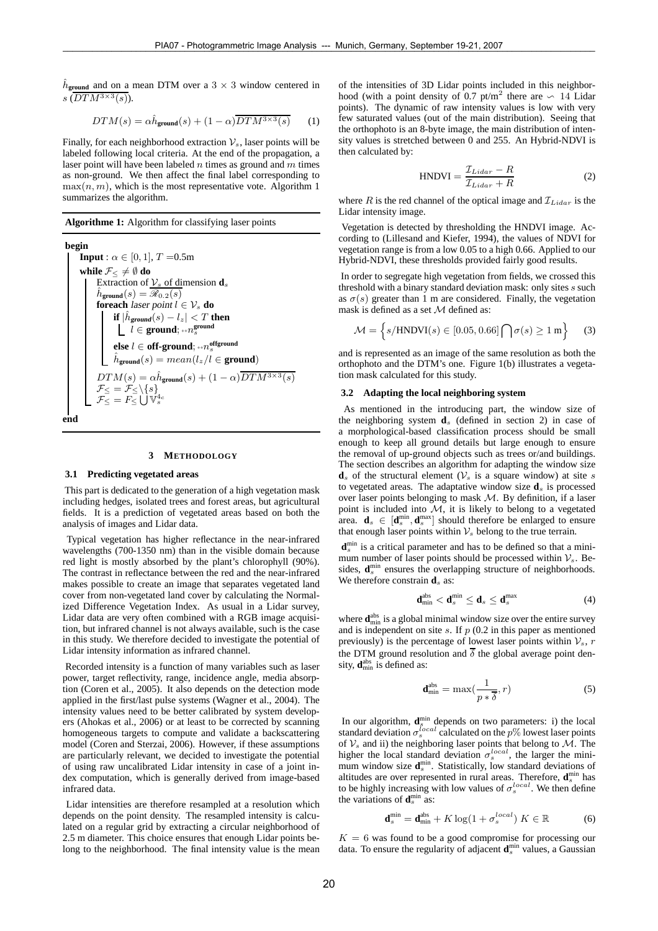$\hat{h}_{\text{ground}}$  and on a mean DTM over a  $3 \times 3$  window centered in  $s(DTM^{3\times 3}(s))$ .

$$
DTM(s) = \alpha \hat{h}_{\text{ground}}(s) + (1 - \alpha) \overline{DTM^{3 \times 3}(s)} \qquad (1)
$$

Finally, for each neighborhood extraction  $\mathcal{V}_s$ , laser points will be labeled following local criteria. At the end of the propagation, a laser point will have been labeled  $n$  times as ground and  $m$  times as non-ground. We then affect the final label corresponding to  $max(n, m)$ , which is the most representative vote. Algorithm 1 summarizes the algorithm.

**Algorithme 1:** Algorithm for classifying laser points

**begin Input** :  $\alpha \in [0, 1]$ ,  $T = 0.5$ m **while**  $\mathcal{F}_<\neq\emptyset$  **do** Extraction of  $\mathcal{V}_s$  of dimension  $\mathbf{d}_s$  $\hat{h}_{{\tt ground}}(s) = \overline{\mathscr{R}_{0.2}(s)}$ **foreach** laser point  $l \in V_s$  **do**  $\mathbf{if}\ |\hat{h}_{\mathbf{ground}}(s) - l_z| < T \ \mathbf{then}$ l ∈ **ground**; ++n **ground** s  $\mathbf{else}~l \in \mathbf{off\text{-}ground};$   $\text{\tiny{++}}n^{\text{offground}}_{s}$  $\hat{h}_{\text{ground}}(s) = mean(l_z/l \in \text{ground})$  $DTM(s) = \alpha \hat{h}_{\text{ground}}(s) + (1 - \alpha) \overline{DTM^{3 \times 3}(s)}$  $\mathcal{F}_\leq = \mathcal{F}_\leq \backslash \{s\}$  $\mathcal{F}_{\leq}^{\mathbb{I}}=F_{\leq}^{\mathbb{I}}\bigcup\mathbb{V}_{s}^{4c}$ 

#### **end**

#### **3 METHODOLOGY**

## **3.1 Predicting vegetated areas**

This part is dedicated to the generation of a high vegetation mask including hedges, isolated trees and forest areas, but agricultural fields. It is a prediction of vegetated areas based on both the analysis of images and Lidar data.

Typical vegetation has higher reflectance in the near-infrared wavelengths (700-1350 nm) than in the visible domain because red light is mostly absorbed by the plant's chlorophyll (90%). The contrast in reflectance between the red and the near-infrared makes possible to create an image that separates vegetated land cover from non-vegetated land cover by calculating the Normalized Difference Vegetation Index. As usual in a Lidar survey, Lidar data are very often combined with a RGB image acquisition, but infrared channel is not always available, such is the case in this study. We therefore decided to investigate the potential of Lidar intensity information as infrared channel.

Recorded intensity is a function of many variables such as laser power, target reflectivity, range, incidence angle, media absorption (Coren et al., 2005). It also depends on the detection mode applied in the first/last pulse systems (Wagner et al., 2004). The intensity values need to be better calibrated by system developers (Ahokas et al., 2006) or at least to be corrected by scanning homogeneous targets to compute and validate a backscattering model (Coren and Sterzai, 2006). However, if these assumptions are particularly relevant, we decided to investigate the potential of using raw uncalibrated Lidar intensity in case of a joint index computation, which is generally derived from image-based infrared data.

Lidar intensities are therefore resampled at a resolution which depends on the point density. The resampled intensity is calculated on a regular grid by extracting a circular neighborhood of 2.5 m diameter. This choice ensures that enough Lidar points belong to the neighborhood. The final intensity value is the mean of the intensities of 3D Lidar points included in this neighborhood (with a point density of 0.7 pt/m<sup>2</sup> there are ∽ 14 Lidar points). The dynamic of raw intensity values is low with very few saturated values (out of the main distribution). Seeing that the orthophoto is an 8-byte image, the main distribution of intensity values is stretched between 0 and 255. An Hybrid-NDVI is then calculated by:

$$
HNDVI = \frac{\mathcal{I}_{Lidar} - R}{\mathcal{I}_{Lidar} + R}
$$
 (2)

where R is the red channel of the optical image and  $\mathcal{I}_{Lidar}$  is the Lidar intensity image.

Vegetation is detected by thresholding the HNDVI image. According to (Lillesand and Kiefer, 1994), the values of NDVI for vegetation range is from a low 0.05 to a high 0.66. Applied to our Hybrid-NDVI, these thresholds provided fairly good results.

In order to segregate high vegetation from fields, we crossed this threshold with a binary standard deviation mask: only sites s such as  $\sigma(s)$  greater than 1 m are considered. Finally, the vegetation mask is defined as a set  $M$  defined as:

$$
\mathcal{M} = \left\{ s / \text{HNDVI}(s) \in [0.05, 0.66] \bigcap \sigma(s) \ge 1 \,\text{m} \right\} \tag{3}
$$

and is represented as an image of the same resolution as both the orthophoto and the DTM's one. Figure 1(b) illustrates a vegetation mask calculated for this study.

### **3.2 Adapting the local neighboring system**

As mentioned in the introducing part, the window size of the neighboring system  $\mathbf{d}_s$  (defined in section 2) in case of a morphological-based classification process should be small enough to keep all ground details but large enough to ensure the removal of up-ground objects such as trees or/and buildings. The section describes an algorithm for adapting the window size  $\mathbf{d}_s$  of the structural element ( $\mathcal{V}_s$  is a square window) at site s to vegetated areas. The adaptative window size  $\mathbf{d}_s$  is processed over laser points belonging to mask  $M$ . By definition, if a laser point is included into  $M$ , it is likely to belong to a vegetated area.  $\mathbf{d}_s \in [\mathbf{d}_s^{\min}, \mathbf{d}_s^{\max}]$  should therefore be enlarged to ensure that enough laser points within  $\mathcal{V}_s$  belong to the true terrain.

**d**<sup>min</sup> is a critical parameter and has to be defined so that a minimum number of laser points should be processed within  $\mathcal{V}_s$ . Besides, d<sup>min</sup> ensures the overlapping structure of neighborhoods. We therefore constrain  $\mathbf{d}_s$  as:

$$
\mathbf{d}_{\min}^{\text{abs}} < \mathbf{d}_{s}^{\min} \leq \mathbf{d}_{s} \leq \mathbf{d}_{s}^{\max} \tag{4}
$$

where  $\mathbf{d}_{\text{min}}^{\text{abs}}$  is a global minimal window size over the entire survey and is independent on site  $s$ . If  $p(0.2)$  in this paper as mentioned previously) is the percentage of lowest laser points within  $\mathcal{V}_s$ , r the DTM ground resolution and  $\overline{\delta}$  the global average point density, **d**<sup>abs</sup> is defined as:

$$
\mathbf{d}_{\min}^{\text{abs}} = \max(\frac{1}{p * \overline{\delta}}, r) \tag{5}
$$

In our algorithm,  $\mathbf{d}_{s}^{\min}$  depends on two parameters: i) the local standard deviation  $\sigma_s^{local}$  calculated on the  $p\%$  lowest laser points of  $\mathcal{V}_s$  and ii) the neighboring laser points that belong to  $\mathcal{M}$ . The higher the local standard deviation  $\sigma_s^{local}$ , the larger the minimum window size  $\mathbf{d}_{s}^{\min}$ . Statistically, low standard deviations of altitudes are over represented in rural areas. Therefore,  $\mathbf{d}_{s}^{\min}$  has to be highly increasing with low values of  $\sigma_s^{local}$ . We then define the variations of  $\mathbf{d}_s^{\min}$  as:

$$
\mathbf{d}_{s}^{\min} = \mathbf{d}_{\min}^{\text{abs}} + K \log(1 + \sigma_{s}^{local}) \ K \in \mathbb{R} \tag{6}
$$

 $K = 6$  was found to be a good compromise for processing our data. To ensure the regularity of adjacent d<sup>min</sup> values, a Gaussian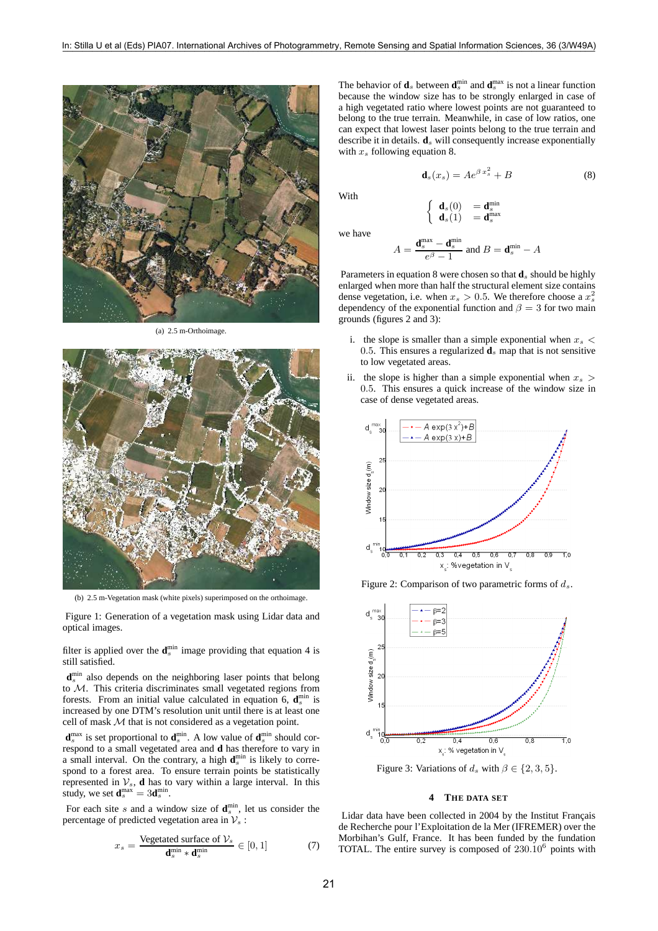

(a) 2.5 m-Orthoimage.



(b) 2.5 m-Vegetation mask (white pixels) superimposed on the orthoimage.

Figure 1: Generation of a vegetation mask using Lidar data and optical images.

filter is applied over the  $\mathbf{d}_{s}^{\min}$  image providing that equation 4 is still satisfied.

d<sup>min</sup> also depends on the neighboring laser points that belong to M. This criteria discriminates small vegetated regions from forests. From an initial value calculated in equation 6,  $\mathbf{d}_{s}^{\min}$  is increased by one DTM's resolution unit until there is at least one cell of mask M that is not considered as a vegetation point.

 $\mathbf{d}_{s}^{\text{max}}$  is set proportional to  $\mathbf{d}_{s}^{\text{min}}$ . A low value of  $\mathbf{d}_{s}^{\text{min}}$  should correspond to a small vegetated area and **d** has therefore to vary in a small interval. On the contrary, a high  $\mathbf{d}_{s}^{\min}$  is likely to correspond to a forest area. To ensure terrain points be statistically represented in  $V_s$ , **d** has to vary within a large interval. In this study, we set  $\mathbf{d}_s^{\text{max}} = 3\mathbf{d}_s^{\text{min}}$ .

For each site s and a window size of  $\mathbf{d}_{s}^{\min}$ , let us consider the percentage of predicted vegetation area in  $\mathcal{V}_s$ :

$$
x_s = \frac{\text{Vegetated surface of } \mathcal{V}_s}{\mathbf{d}_s^{\min} \cdot \mathbf{d}_s^{\min}} \in [0, 1] \tag{7}
$$

The behavior of  $\mathbf{d}_s$  between  $\mathbf{d}_s^{\min}$  and  $\mathbf{d}_s^{\max}$  is not a linear function because the window size has to be strongly enlarged in case of a high vegetated ratio where lowest points are not guaranteed to belong to the true terrain. Meanwhile, in case of low ratios, one can expect that lowest laser points belong to the true terrain and describe it in details.  $\mathbf{d}_s$  will consequently increase exponentially with  $x_s$  following equation 8.

$$
\mathbf{d}_s(x_s) = Ae^{\beta x_s^2} + B \tag{8}
$$

With

$$
\left\{\begin{array}{ll}\mathbf{d}_s(0) &= \mathbf{d}_s^{\min} \\ \mathbf{d}_s(1) &= \mathbf{d}_s^{\max}\end{array}\right.
$$

we have

$$
A = \frac{\mathbf{d}_s^{\max} - \mathbf{d}_s^{\min}}{e^{\beta} - 1}
$$
 and 
$$
B = \mathbf{d}_s^{\min} - A
$$

Parameters in equation 8 were chosen so that  $\mathbf{d}_s$  should be highly enlarged when more than half the structural element size contains dense vegetation, i.e. when  $x_s > 0.5$ . We therefore choose a  $x_s^2$ dependency of the exponential function and  $\beta = 3$  for two main grounds (figures 2 and 3):

- i. the slope is smaller than a simple exponential when  $x_s$  < 0.5. This ensures a regularized  $\mathbf{d}_s$  map that is not sensitive to low vegetated areas.
- ii. the slope is higher than a simple exponential when  $x_s$ 0.5. This ensures a quick increase of the window size in case of dense vegetated areas.



Figure 2: Comparison of two parametric forms of  $d_s$ .



Figure 3: Variations of  $d_s$  with  $\beta \in \{2, 3, 5\}.$ 

# **4 THE DATA SET**

Lidar data have been collected in 2004 by the Institut Français de Recherche pour l'Exploitation de la Mer (IFREMER) over the Morbihan's Gulf, France. It has been funded by the fundation TOTAL. The entire survey is composed of  $230.10^6$  points with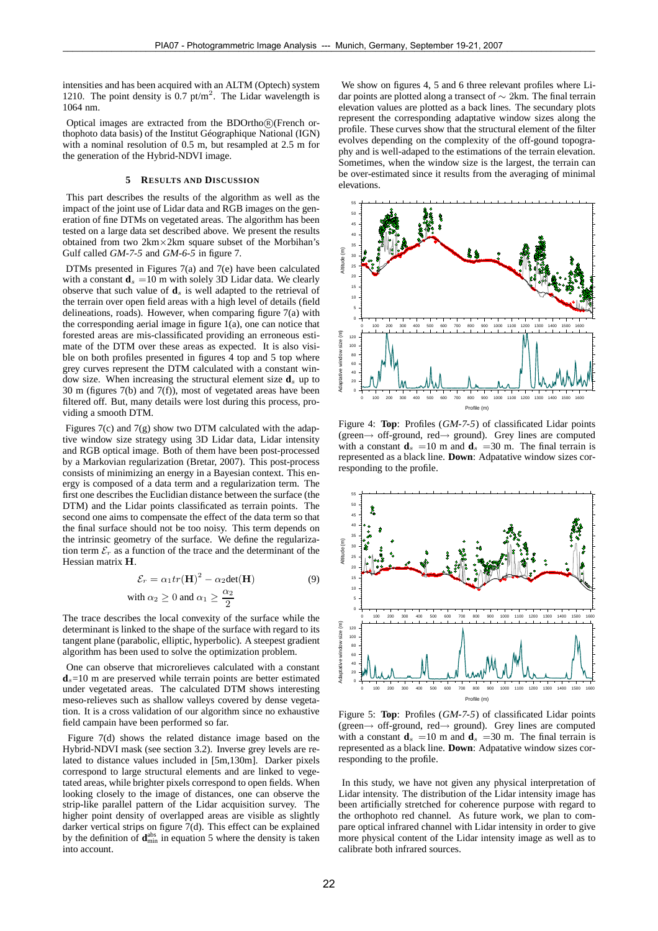intensities and has been acquired with an ALTM (Optech) system 1210. The point density is 0.7 pt/m<sup>2</sup>. The Lidar wavelength is 1064 nm.

Optical images are extracted from the BDOrtho $(R)$ (French orthophoto data basis) of the Institut Géographique National (IGN) with a nominal resolution of 0.5 m, but resampled at 2.5 m for the generation of the Hybrid-NDVI image.

# **5 RESULTS AND DISCUSSION**

This part describes the results of the algorithm as well as the impact of the joint use of Lidar data and RGB images on the generation of fine DTMs on vegetated areas. The algorithm has been tested on a large data set described above. We present the results obtained from two 2km×2km square subset of the Morbihan's Gulf called GM-7-5 and GM-6-5 in figure 7.

DTMs presented in Figures 7(a) and 7(e) have been calculated with a constant  $\mathbf{d}_s = 10$  m with solely 3D Lidar data. We clearly observe that such value of  $\mathbf{d}_s$  is well adapted to the retrieval of the terrain over open field areas with a high level of details (field delineations, roads). However, when comparing figure 7(a) with the corresponding aerial image in figure 1(a), one can notice that forested areas are mis-classificated providing an erroneous estimate of the DTM over these areas as expected. It is also visible on both profiles presented in figures  $\overline{4}$  top and  $\overline{5}$  top where grey curves represent the DTM calculated with a constant window size. When increasing the structural element size  $\mathbf{d}_s$  up to 30 m (figures 7(b) and 7(f)), most of vegetated areas have been filtered off. But, many details were lost during this process, providing a smooth DTM.

Figures 7(c) and 7(g) show two DTM calculated with the adaptive window size strategy using 3D Lidar data, Lidar intensity and RGB optical image. Both of them have been post-processed by a Markovian regularization (Bretar, 2007). This post-process consists of minimizing an energy in a Bayesian context. This energy is composed of a data term and a regularization term. The first one describes the Euclidian distance between the surface (the DTM) and the Lidar points classificated as terrain points. The second one aims to compensate the effect of the data term so that the final surface should not be too noisy. This term depends on the intrinsic geometry of the surface. We define the regularization term  $\mathcal{E}_r$  as a function of the trace and the determinant of the Hessian matrix H.

$$
\mathcal{E}_r = \alpha_1 tr(\mathbf{H})^2 - \alpha_2 det(\mathbf{H})
$$
  
with  $\alpha_2 \ge 0$  and  $\alpha_1 \ge \frac{\alpha_2}{2}$  (9)

The trace describes the local convexity of the surface while the determinant is linked to the shape of the surface with regard to its tangent plane (parabolic, elliptic, hyperbolic). A steepest gradient algorithm has been used to solve the optimization problem.

One can observe that microrelieves calculated with a constant  $\mathbf{d}_s = 10$  m are preserved while terrain points are better estimated under vegetated areas. The calculated DTM shows interesting meso-relieves such as shallow valleys covered by dense vegetation. It is a cross validation of our algorithm since no exhaustive field campain have been performed so far.

Figure 7(d) shows the related distance image based on the Hybrid-NDVI mask (see section 3.2). Inverse grey levels are related to distance values included in [5m,130m]. Darker pixels correspond to large structural elements and are linked to vegetated areas, while brighter pixels correspond to open fields. When looking closely to the image of distances, one can observe the strip-like parallel pattern of the Lidar acquisition survey. The higher point density of overlapped areas are visible as slightly darker vertical strips on figure 7(d). This effect can be explained by the definition of  $\mathbf{d}_{\min}^{\text{abs}}$  in equation 5 where the density is taken into account.

We show on figures 4, 5 and 6 three relevant profiles where Lidar points are plotted along a transect of ∼ 2km. The final terrain elevation values are plotted as a back lines. The secundary plots represent the corresponding adaptative window sizes along the profile. These curves show that the structural element of the filter evolves depending on the complexity of the off-gound topography and is well-adaped to the estimations of the terrain elevation. Sometimes, when the window size is the largest, the terrain can be over-estimated since it results from the averaging of minimal elevations.



Figure 4: **Top**: Profiles (GM-7-5) of classificated Lidar points (green→ off-ground, red→ ground). Grey lines are computed with a constant  $\mathbf{d}_s = 10$  m and  $\mathbf{d}_s = 30$  m. The final terrain is represented as a black line. **Down**: Adpatative window sizes corresponding to the profile.



Figure 5: **Top**: Profiles (GM-7-5) of classificated Lidar points (green $\rightarrow$  off-ground, red $\rightarrow$  ground). Grey lines are computed with a constant  $\mathbf{d}_s = 10$  m and  $\mathbf{d}_s = 30$  m. The final terrain is represented as a black line. **Down**: Adpatative window sizes corresponding to the profile.

In this study, we have not given any physical interpretation of Lidar intensity. The distribution of the Lidar intensity image has been artificially stretched for coherence purpose with regard to the orthophoto red channel. As future work, we plan to compare optical infrared channel with Lidar intensity in order to give more physical content of the Lidar intensity image as well as to calibrate both infrared sources.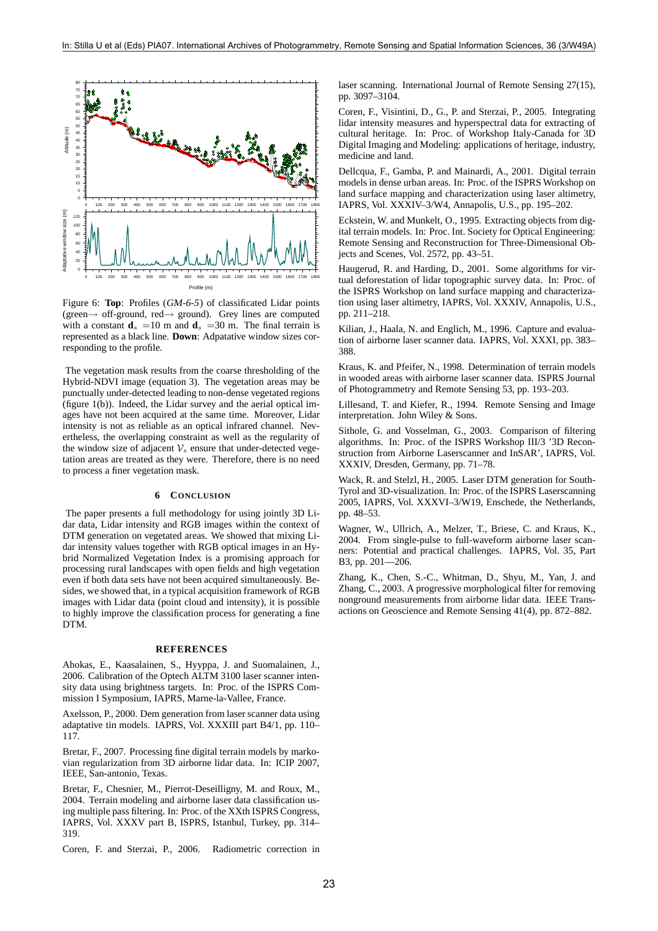

Figure 6: **Top**: Profiles (GM-6-5) of classificated Lidar points (green→ off-ground, red→ ground). Grey lines are computed with a constant  $\mathbf{d}_s = 10$  m and  $\mathbf{d}_s = 30$  m. The final terrain is represented as a black line. **Down**: Adpatative window sizes corresponding to the profile.

The vegetation mask results from the coarse thresholding of the Hybrid-NDVI image (equation 3). The vegetation areas may be punctually under-detected leading to non-dense vegetated regions (figure 1(b)). Indeed, the Lidar survey and the aerial optical images have not been acquired at the same time. Moreover, Lidar intensity is not as reliable as an optical infrared channel. Nevertheless, the overlapping constraint as well as the regularity of the window size of adjacent  $\mathcal{V}_s$  ensure that under-detected vegetation areas are treated as they were. Therefore, there is no need to process a finer vegetation mask.

## **6 CONCLUSION**

The paper presents a full methodology for using jointly 3D Lidar data, Lidar intensity and RGB images within the context of DTM generation on vegetated areas. We showed that mixing Lidar intensity values together with RGB optical images in an Hybrid Normalized Vegetation Index is a promising approach for processing rural landscapes with open fields and high vegetation even if both data sets have not been acquired simultaneously. Besides, we showed that, in a typical acquisition framework of RGB images with Lidar data (point cloud and intensity), it is possible to highly improve the classification process for generating a fine DTM.

#### **REFERENCES**

Ahokas, E., Kaasalainen, S., Hyyppa, J. and Suomalainen, J., 2006. Calibration of the Optech ALTM 3100 laser scanner intensity data using brightness targets. In: Proc. of the ISPRS Commission I Symposium, IAPRS, Marne-la-Vallee, France.

Axelsson, P., 2000. Dem generation from laser scanner data using adaptative tin models. IAPRS, Vol. XXXIII part B4/1, pp. 110– 117.

Bretar, F., 2007. Processing fine digital terrain models by markovian regularization from 3D airborne lidar data. In: ICIP 2007, IEEE, San-antonio, Texas.

Bretar, F., Chesnier, M., Pierrot-Deseilligny, M. and Roux, M., 2004. Terrain modeling and airborne laser data classification using multiple pass filtering. In: Proc. of the XXth ISPRS Congress, IAPRS, Vol. XXXV part B, ISPRS, Istanbul, Turkey, pp. 314– 319.

Coren, F. and Sterzai, P., 2006. Radiometric correction in

laser scanning. International Journal of Remote Sensing 27(15), pp. 3097–3104.

Coren, F., Visintini, D., G., P. and Sterzai, P., 2005. Integrating lidar intensity measures and hyperspectral data for extracting of cultural heritage. In: Proc. of Workshop Italy-Canada for 3D Digital Imaging and Modeling: applications of heritage, industry, medicine and land.

Dellcqua, F., Gamba, P. and Mainardi, A., 2001. Digital terrain models in dense urban areas. In: Proc. of the ISPRS Workshop on land surface mapping and characterization using laser altimetry, IAPRS, Vol. XXXIV–3/W4, Annapolis, U.S., pp. 195–202.

Eckstein, W. and Munkelt, O., 1995. Extracting objects from digital terrain models. In: Proc. Int. Society for Optical Engineering: Remote Sensing and Reconstruction for Three-Dimensional Objects and Scenes, Vol. 2572, pp. 43–51.

Haugerud, R. and Harding, D., 2001. Some algorithms for virtual deforestation of lidar topographic survey data. In: Proc. of the ISPRS Workshop on land surface mapping and characterization using laser altimetry, IAPRS, Vol. XXXIV, Annapolis, U.S., pp. 211–218.

Kilian, J., Haala, N. and Englich, M., 1996. Capture and evaluation of airborne laser scanner data. IAPRS, Vol. XXXI, pp. 383– 388.

Kraus, K. and Pfeifer, N., 1998. Determination of terrain models in wooded areas with airborne laser scanner data. ISPRS Journal of Photogrammetry and Remote Sensing 53, pp. 193–203.

Lillesand, T. and Kiefer, R., 1994. Remote Sensing and Image interpretation. John Wiley & Sons.

Sithole, G. and Vosselman, G., 2003. Comparison of filtering algorithms. In: Proc. of the ISPRS Workshop III/3 '3D Reconstruction from Airborne Laserscanner and InSAR', IAPRS, Vol. XXXIV, Dresden, Germany, pp. 71–78.

Wack, R. and Stelzl, H., 2005. Laser DTM generation for South-Tyrol and 3D-visualization. In: Proc. of the ISPRS Laserscanning 2005, IAPRS, Vol. XXXVI–3/W19, Enschede, the Netherlands, pp. 48–53.

Wagner, W., Ullrich, A., Melzer, T., Briese, C. and Kraus, K., 2004. From single-pulse to full-waveform airborne laser scanners: Potential and practical challenges. IAPRS, Vol. 35, Part B3, pp. 201—206.

Zhang, K., Chen, S.-C., Whitman, D., Shyu, M., Yan, J. and Zhang, C., 2003. A progressive morphological filter for removing nonground measurements from airborne lidar data. IEEE Transactions on Geoscience and Remote Sensing 41(4), pp. 872–882.